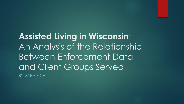**Assisted Living in Wisconsin**: An Analysis of the Relationship Between Enforcement Data and Client Groups Served BY: SARA PICA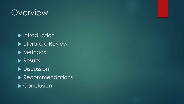#### Overview

 $\blacktriangleright$  Introduction **Literature Review Methods** Results Discussion **Recommendations** ▶ Conclusion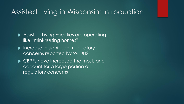#### Assisted Living in Wisconsin: Introduction

- **Assisted Living Facilities are operating** like "mini-nursing homes"
- **Increase in significant regulatory** concerns reported by WI DHS
- ▶ CBRFs have increased the most, and account for a large portion of regulatory concerns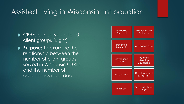#### Assisted Living in Wisconsin: Introduction

- ▶ CBRFs can serve up to 10 client groups (Right)
- **Purpose:** To examine the relationship between the number of client groups served in Wisconsin CBRFs and the number of deficiencies recorded

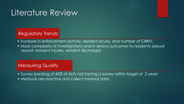## Literature Review

#### Regulatory Trends

- Increase in enforcement activity, resident acuity, and number of CBRFs.
- More complexity of investigations and in serious outcomes to residents (sexual assault, resident injuries, resident discharge).

#### **Measuring Quality**

- Survey backlog of 40% of ALFs not having a survey within target of 2 years
- Methods are reactive and collect minimal data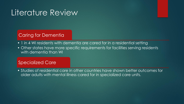## Literature Review

#### **Caring for Dementia**

- 1 in 4 WI residents with dementia are cared for in a residential setting
- Other states have more specific requirements for facilities serving residents with dementia than WI

#### Specialized Care

• Studies of residential care in other countries have shown better outcomes for older adults with mental illness cared for in specialized care units.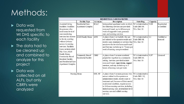# Methods:

#### ▶ Data was requested from WI DHS specific to each facility

 $\blacktriangleright$  The data had to be cleaned up and combined to analyze for this project<sup>1</sup>

#### ▶ Data was collected on all ALFs, but only CBRFs were analyzed

| <b>RESIDENTIAL CARE FACILITIES</b>                                                                                                                                                                          |                                                             |                            |                                                                                                                                                                                                                                                                                                                                                                                                                      |                                                                                                 |          |                                                         |
|-------------------------------------------------------------------------------------------------------------------------------------------------------------------------------------------------------------|-------------------------------------------------------------|----------------------------|----------------------------------------------------------------------------------------------------------------------------------------------------------------------------------------------------------------------------------------------------------------------------------------------------------------------------------------------------------------------------------------------------------------------|-------------------------------------------------------------------------------------------------|----------|---------------------------------------------------------|
|                                                                                                                                                                                                             | <b>Facility Type</b>                                        | Acronym                    | <b>Description</b>                                                                                                                                                                                                                                                                                                                                                                                                   | State Reg.                                                                                      | Capacity |                                                         |
| ssisted Living<br>acilities: Facilities<br>or persons who<br>eed some level of<br>are monitoring<br>ervices but choose<br>o live in a setting<br>vithout 24-hour<br>ccess to nursing<br>ervices. Facilities | Residential Care<br>Apartment Complex<br>A dult Family Home | <b>RCAC</b><br>${\tt AFH}$ | Independent apartment units in which<br>the following services are provided:<br>room and board, up to 28 hours per<br>week of supportive care, personal<br>care, and nursing services.<br>A place where 3 or 4 adults who are<br>not related to the operator reside and<br>receive care, treatment or services that Wis. Stat. 50<br>are above the level of room and board<br>and that may include up to 7 hours per | WIAdministrative 5-109<br>Code DHS 89,<br>Wis. Stat. 30<br>WIAdministrative 3-4<br>Code DHS 88, |          | Registerted<br>or certified<br>Certified or<br>licensed |
| ypes include Adult<br>Day Care, A du lt<br>amily Home,<br>Community Based<br><b>Resident Facility,</b><br>nd Residential Care<br>partment Complex                                                           | Community Based<br>Residential Facility                     | <b>CBRF</b>                | week of nursing care per resident.<br>A place where 5 or more unrelated<br>people live together in a community<br>setting. Services provided include<br>room and board, supervision, support<br>services, and may include up to 3<br>hours of nursing care per week.                                                                                                                                                 | WIAdministrative 5-257<br>Code DHS 83,<br>Wis. Stat. 50                                         |          | Licensed                                                |
| Nursing Home                                                                                                                                                                                                |                                                             | SNF, NF                    | A place where 5 or more persons who<br>are not related to the operator or<br>administrator reside, receive care or<br>treatment and, because of their mental<br>or physical condition, require access<br>to 24-hour nursing services, including<br>limited nursing care, intermediate level<br>nursing care and skilled nursing<br>services                                                                          | WI Administrative<br>Code DHS 132,<br>Wis. Stat. 50                                             |          |                                                         |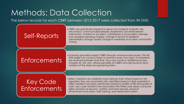## Methods: Data Collection

The below records for each CBRF between 2015-2017 were collected from WI DHS:

#### Self-Reports

• CBRFs are specifically required to report any incidents of death, fire, misconduct, communicable disease, elopement, law enforcement intervention, incident or accident, catastrophe or evacuation, licensee and caregiver pending charges, change in service to residents, administrator change, facility change in ownership or location, and facility closing.

#### **Enforcements**

•Licensing specialists inspect CBRFs through unannounced surveys. The WI DHS target is to conduct these at minimum every two years. If complaints are received between that time, they may conduct additional surveys. Chapter 50, Wis. Stat. affords penalties for CBRFs who are found to be in violation of the state laws governing them.

Key Code Enforcements •Select violations are weighted more seriously than others based on the regulation they are associated with. Identified based on their potential to affect resident outcomes specifically related to quality of life and quality of care, key code violations are associated with these core areas: consumer rights, provision of services, nutrition and food services, physical environment and safety, staff training, and medication system.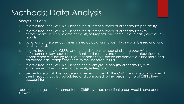## Methods: Data Analysis

Analysis included:

- 1. relative frequency of CBRFs serving the different number of client groups per facility
- 2. relative frequency of CBRFs serving the different number of client groups with enforcements, key code enforcements, self-reports, and some unique categories of selfreports
- 3. variations of the previously mentioned calculations to identify any possible regional and funding trends
- 4. relative frequency of CBRFs serving the different number of client groups with enforcements, key code enforcements, self-reports, and some unique categories of selfreports when eliminating facilities that don't serve irreversible dementia/Alzheimer's and advanced age- comparing them to the unfiltered results
- 5. relative frequency of CBRFs serving one client group only (by client group) with enforcements, key code enforcements, self-reports
- 6. percentage of total key code enforcements issued to the CBRFs serving each number of client groups was also calculated and compared to the percent of total CBRFs they account for

\*due to the range in enforcements per CBRF, average per client group would have been skewed.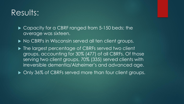## Results:

▶ Capacity for a CBRF ranged from 5-150 beds; the average was sixteen.

 $\triangleright$  No CBRFs in Wisconsin served all ten client groups.

▶ The largest percentage of CBRFs served two client groups, accounting for 30% (477) of all CBRFs. Of those serving two client groups, 70% (335) served clients with irreversible dementia/Alzheimer's and advanced age.

▶ Only 36% of CBRFs served more than four client groups.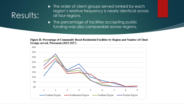# Results:

- $\blacktriangleright$  The order of client groups served ranked by each region's relative frequency is nearly identical across all four regions.
- $\blacktriangleright$  The percentage of facilities accepting public funding was also comparable across regions.

Figure II: Percentage of Community Based Residential Facilities by Region and Number of Client Groups served, Wisconsin (2015-2017)

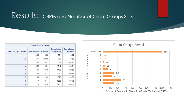#### Results: CBRFs and Number of Client Groups Served

| <b>Client Groups Served</b> |           |         |                         |                       |  |  |
|-----------------------------|-----------|---------|-------------------------|-----------------------|--|--|
| <b>Client Groups Served</b> | Frequency | Percent | Cumulative<br>Frequency | Cumulative<br>Percent |  |  |
| 1                           | 304       | 18.92   | 304                     | 18.92                 |  |  |
| $\overline{2}$              | 477       | 29.68   | 781                     | 48.60                 |  |  |
| 3                           | 255       | 15.87   | 1036                    | 64.47                 |  |  |
| 4                           | 306       | 19.04   | 1342                    | 83.51                 |  |  |
| 5                           | 147       | 9.15    | 1489                    | 92.66                 |  |  |
| 6                           | 68        | 4.23    | 1557                    | 96.89                 |  |  |
| 7                           | 39        | 2.43    | 1596                    | 99.32                 |  |  |
| 8                           | 7         | 0.44    | 1603                    | 99.75                 |  |  |
| 9                           | 4         | 0.25    | 1607                    | 100.00                |  |  |

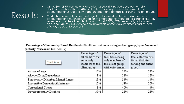# Results: .

- Of the 304 CBRFs serving only one client group 39% served developmentally disabled clients. Of those, 28% had at least one key code enforcement and accounted for 28% of all key code enforcements for facilities serving 1 client group.
- CBRFs that serve only advanced aged and irreversible dementia/Alzheimer's accounted for a much larger portion of enforcements than facilities that exclusively served each of the other client groups. Of all CBRFs, 37% served only advanced age, and 53% of CBRFs served only irreversible dementia/Alzheimer's had at least one key code enforcement.

Percentage of Community Based Residential Facilities that serve a single client group, by enforcement activity, Wisconsin (2015-2017)

| <b>Chart Area</b>                    | Percentage of<br>all facilities that<br>serve only<br>members of this<br>client group | Percentage of<br>facilities serving<br>only members of<br>this client group<br>with enforcement | Percentage of<br>total enforcements<br>for all facilities<br>serving one client<br>group |
|--------------------------------------|---------------------------------------------------------------------------------------|-------------------------------------------------------------------------------------------------|------------------------------------------------------------------------------------------|
| Advanced Age                         | 17%                                                                                   | 37%                                                                                             | 23%                                                                                      |
| Alcohol/Drug Dependency              | 9%                                                                                    | 21%                                                                                             | 12%                                                                                      |
| Emotionally Disturbed/Mental Illness | 19%                                                                                   | 34%                                                                                             | 14%                                                                                      |
| Irreversible Dementia/Alzheimer's    | 12%                                                                                   | 53%                                                                                             | 20%                                                                                      |
| Correctional Clients                 | 3%                                                                                    | 40%                                                                                             | 4%                                                                                       |
| Developmentally Disabled             | 39%                                                                                   | 28%                                                                                             | 28%                                                                                      |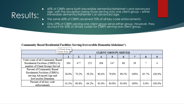# Results:

▶ 60% of CBRFs serve both irreversible dementia/Alzheimer's and advanced age, with the exception being those serving only one client group – either irreversible dementia/Alzheimer's or advanced age.

The same 60% of CBRFs received 75% of all key code enforcements.

▶ Only 29% of CBRFs serving one client group serve either group. However, they account for 42% of all key codes for CBRFs serving one client group.

#### Community Based Residential Facilities Serving Irreversible Dementia/Alzheimer's

| Chart Area                         |       |       |                             |       |       |              |      |         |        |
|------------------------------------|-------|-------|-----------------------------|-------|-------|--------------|------|---------|--------|
| Chart Area                         |       |       | <b>CLIENT GROUPS SERVED</b> |       |       |              |      |         |        |
|                                    |       |       | 3                           |       | 5     | $\mathbf{6}$ |      | 8       |        |
| Total count of all Community Based |       |       |                             |       |       |              |      |         |        |
| Residential Facilities (CBRFs) by  | 304   | 477   | 255                         | 306   | 147   | 68           | 39   |         |        |
| number of Client Groups Served     |       |       |                             |       |       |              |      |         |        |
| Percent of Community Based         | 28.6% | 70.2% | 59.2%                       | 80.4% | 79.6% | 98.5%        | 100% | 85.7%   | 100.0% |
| Residential Facilities (CBRFs)     |       |       |                             |       |       |              |      |         |        |
| serving Advanced Age and           |       |       |                             |       |       |              |      |         |        |
| Irreversible Dementia              |       |       |                             |       |       |              |      |         |        |
| Percent of all key code            | 42.3% | 80.8% | 64.2%                       | 93.0% | 84.9% | 93.6%        | 100% | $0.0\%$ | 100.0% |
| enforcements                       |       |       |                             |       |       |              |      |         |        |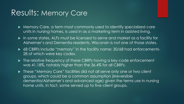#### Results: Memory Care

- Memory Care, a term most commonly used to identify specialized care units in nursing homes, is used in as a marketing term in assisted living.
- In some states, ALFs must be licensed to serve and market as a facility for Alzheimer's and Dementia residents. Wisconsin is not one of those states.
- ▶ 68 CBRFs include "memory" in the facility name; 30/68 had enforcements-28 of which were key codes.
- ▶ The relative frequency of these CBRFs having a key code enforcement was 41.18%, notably higher than the 36.4% for all CBRFs.
- ▶ These "Memory Care" facilities did not all serve only one or two client groups, which could be a common assumption (irreversible dementia/Alzheimer's and advanced age) given the terms use in nursing home units. In fact, some served up to five client groups.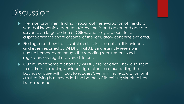## Discussion

- $\blacktriangleright$  The most prominent finding throughout the evaluation of the data was that irreversible dementia/Alzheimer's and advanced age are served by a large portion of CBRFs, and they account for a disproportionate share of some of the regulatory concerns explored.
- $\blacktriangleright$  Findings also show that available data is incomplete. It is evident, and even reported by WI DHS that ALFs increasingly resemble nursing homes, even though the reporting requirements and regulatory oversight are very different.

 Quality improvement efforts by WI DHS are reactive. They also seem to address increasingly evident signs clients are exceeding the bounds of care with "tools to success"; yet minimal exploration on if assisted living has exceeded the bounds of its existing structure has been reported.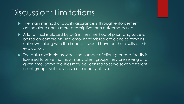## Discussion: Limitations

- $\blacktriangleright$  The main method of quality assurance is through enforcement action alone and is more prescriptive than outcome-based.
- A lot of trust is placed by DHS in their method of prioritizing surveys based on complaints. The amount of missed deficiencies remains unknown, along with the impact it would have on the results of this evaluation.
- $\blacktriangleright$  The data available provides the number of client groups a facility is licensed to serve; not how many client groups they are serving at a given time. Some facilities may be licensed to serve seven different client groups, yet they have a capacity of five.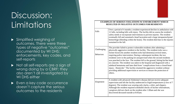# Discussion: Limitations

- **>** Simplified weighing of outcomes. There were three types of negative "outcomes" documented by WI DHS; enforcements, key codes, and self-reports
- Not all self-reports are a sign of wrong doing by a CBRF; they also aren't all investigated by WI DHS either
- Even a key code occurrence doesn't capture the serious outcomes to the residents

#### **EXAMPLES OF SERIOUS VIOLATIONS W/ ENFORCEMENT WHICH RESULTED IN NEGATIVE OUTCOMES FOR RESIDENTS**

| Falls                           | Over a period of 4 months a resident experienced decline in ambulation with<br>12 falls, including falls with injury. The facility did no assess the resident's<br>safety needs or incorporate interventions to prevent injuries. The resident<br>eventually fell and sustained a head laceration and a large intraparenchymal<br>hemorrhage (bleeding within the brain). The resident died due to the injuries<br>sustained in the fall.                                                                                                                                                                                                                                                                                                                                                 |
|---------------------------------|-------------------------------------------------------------------------------------------------------------------------------------------------------------------------------------------------------------------------------------------------------------------------------------------------------------------------------------------------------------------------------------------------------------------------------------------------------------------------------------------------------------------------------------------------------------------------------------------------------------------------------------------------------------------------------------------------------------------------------------------------------------------------------------------|
| Challenging<br><b>Behaviors</b> | The provider failed to protect vulnerable residents after admitting a<br>physically aggressive resident to the facility. The resident (who was a<br>former boxer) hit another resident (who had dementia) several times,<br>requiring police intervention. During a subsequent incident, the two<br>residents were in the parking lot unsupervised when the second residents<br>was punched in the face. The resident fell to the ground, hitting his/her head<br>on concrete. The resident was taken to the hospital and diagnosed with a<br>subdural hematoma and later died from "complications from a closed head<br>injury - Homicide." The facility retained the aggressive resident without<br>providing additional supervision or services to ensure the protection of<br>others. |
| Elopement                       | A resident with advanced Alzheimer's disease did not receive adequate<br>supervision and left the facility undetected in frigid temperatures (a low of 7<br>degrees). The resident was wearing only slacks, a shirt, and slippers.<br>Although the resident required scheduled checks of his/her whereabouts,<br>caregivers did not check on the resident after 1:00am and she was<br>discovered deceased outside at 8:05am.                                                                                                                                                                                                                                                                                                                                                              |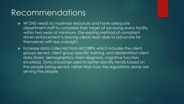#### Recommendations

- $\triangleright$  WI DHS needs to maximize resources and have adequate department staff to complete their target of surveying every facility within two years at minimum. The existing method of complaint driven enforcement is leaving clients least able to advocate for themselves with less oversight.
- Increase data collected from all CBRFs which includes the client groups served, client group specific training, and deidentified client data (basic demographics, main diagnosis, cognitive function, etcetera). Data should be used to better identify trends based on the people being served, rather than how the regulations alone are serving the people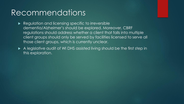#### Recommendations

- Regulation and licensing specific to irreversible dementia/Alzheimer's should be explored. Moreover, CBRF, regulations should address whether a client that falls into multiple client groups should only be served by facilities licensed to serve all those client groups, which is currently unclear.
- A legislative audit of WI DHS assisted living should be the first step in this exploration.